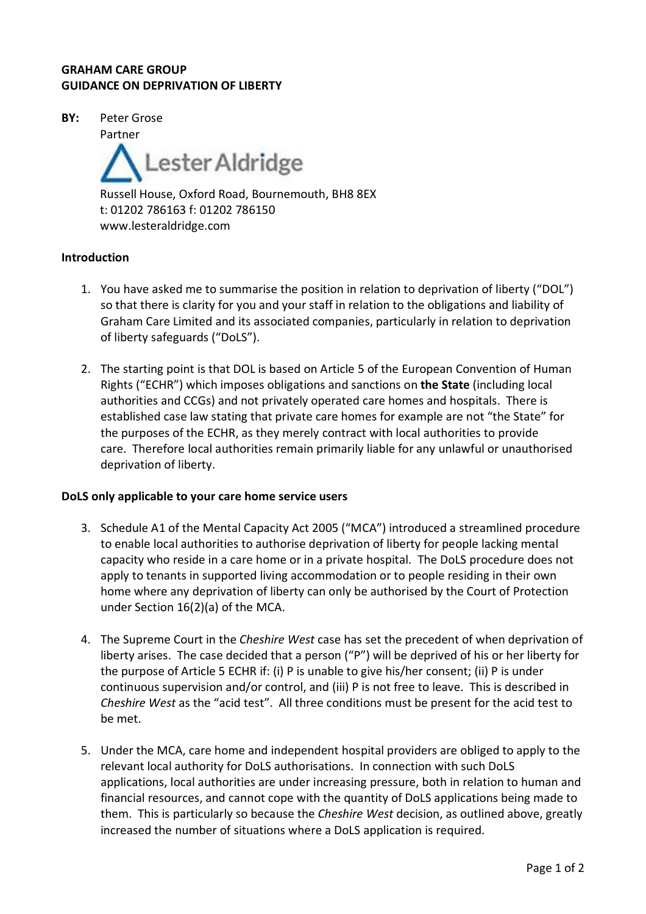## **GRAHAM CARE GROUP GUIDANCE ON DEPRIVATION OF LIBERTY**

**BY:** Peter Grose

Partner

Lester Aldridge Russell House, Oxford Road, Bournemouth, BH8 8EX t: 01202 786163 f: 01202 786150 www.lesteraldridge.com

## **Introduction**

- 1. You have asked me to summarise the position in relation to deprivation of liberty ("DOL") so that there is clarity for you and your staff in relation to the obligations and liability of Graham Care Limited and its associated companies, particularly in relation to deprivation of liberty safeguards ("DoLS").
- 2. The starting point is that DOL is based on Article 5 of the European Convention of Human Rights ("ECHR") which imposes obligations and sanctions on **the State** (including local authorities and CCGs) and not privately operated care homes and hospitals. There is established case law stating that private care homes for example are not "the State" for the purposes of the ECHR, as they merely contract with local authorities to provide care. Therefore local authorities remain primarily liable for any unlawful or unauthorised deprivation of liberty.

## **DoLS only applicable to your care home service users**

- 3. Schedule A1 of the Mental Capacity Act 2005 ("MCA") introduced a streamlined procedure to enable local authorities to authorise deprivation of liberty for people lacking mental capacity who reside in a care home or in a private hospital. The DoLS procedure does not apply to tenants in supported living accommodation or to people residing in their own home where any deprivation of liberty can only be authorised by the Court of Protection under Section 16(2)(a) of the MCA.
- 4. The Supreme Court in the *Cheshire West* case has set the precedent of when deprivation of liberty arises. The case decided that a person ("P") will be deprived of his or her liberty for the purpose of Article 5 ECHR if: (i) P is unable to give his/her consent; (ii) P is under continuous supervision and/or control, and (iii) P is not free to leave. This is described in *Cheshire West* as the "acid test". All three conditions must be present for the acid test to be met.
- 5. Under the MCA, care home and independent hospital providers are obliged to apply to the relevant local authority for DoLS authorisations. In connection with such DoLS applications, local authorities are under increasing pressure, both in relation to human and financial resources, and cannot cope with the quantity of DoLS applications being made to them. This is particularly so because the *Cheshire West* decision, as outlined above, greatly increased the number of situations where a DoLS application is required.